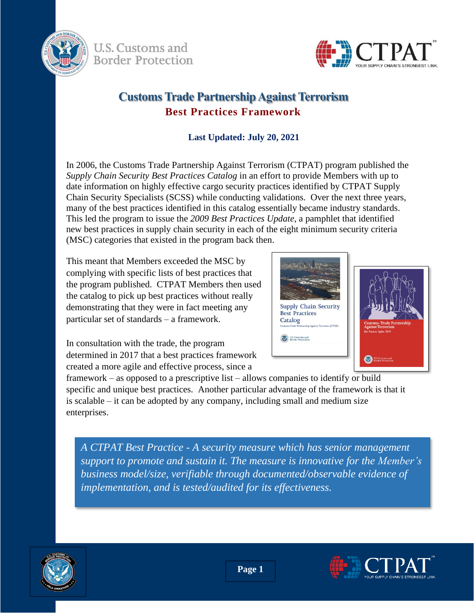

U.S. Customs and **Border Protection** 



# **Customs Trade Partnership Against Terrorism Best Practices Framework**

### **Last Updated: July 20, 2021**

In 2006, the Customs Trade Partnership Against Terrorism (CTPAT) program published the *Supply Chain Security Best Practices Catalog* in an effort to provide Members with up to date information on highly effective cargo security practices identified by CTPAT Supply Chain Security Specialists (SCSS) while conducting validations. Over the next three years, many of the best practices identified in this catalog essentially became industry standards. This led the program to issue the *2009 Best Practices Update*, a pamphlet that identified new best practices in supply chain security in each of the eight minimum security criteria (MSC) categories that existed in the program back then.

This meant that Members exceeded the MSC by complying with specific lists of best practices that the program published. CTPAT Members then used the catalog to pick up best practices without really demonstrating that they were in fact meeting any particular set of standards – a framework.



In consultation with the trade, the program determined in 2017 that a best practices framework created a more agile and effective process, since a

framework – as opposed to a prescriptive list – allows companies to identify or build specific and unique best practices. Another particular advantage of the framework is that it is scalable – it can be adopted by any company, including small and medium size enterprises.

*A CTPAT Best Practice - A security measure which has senior management support to promote and sustain it. The measure is innovative for the Member's business model/size, verifiable through documented/observable evidence of implementation, and is tested/audited for its effectiveness.* 



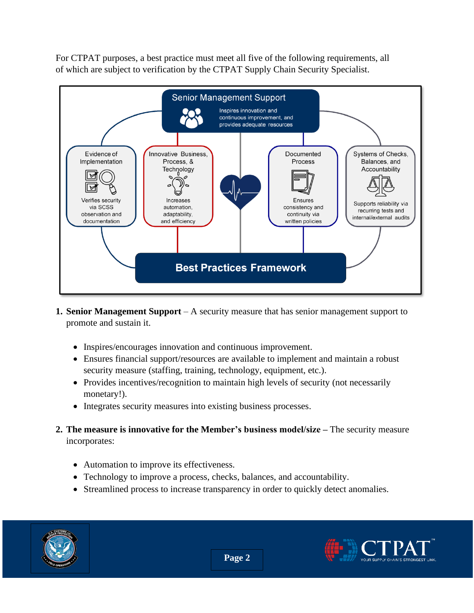For CTPAT purposes, a best practice must meet all five of the following requirements, all of which are subject to verification by the CTPAT Supply Chain Security Specialist.



- **1. Senior Management Support** A security measure that has senior management support to promote and sustain it.
	- Inspires/encourages innovation and continuous improvement.
	- Ensures financial support/resources are available to implement and maintain a robust security measure (staffing, training, technology, equipment, etc.).
	- Provides incentives/recognition to maintain high levels of security (not necessarily monetary!).
	- Integrates security measures into existing business processes.
- **2. The measure is innovative for the Member's business model/size –** The security measure incorporates:
	- Automation to improve its effectiveness.
	- Technology to improve a process, checks, balances, and accountability.
	- Streamlined process to increase transparency in order to quickly detect anomalies.



**Page 2**